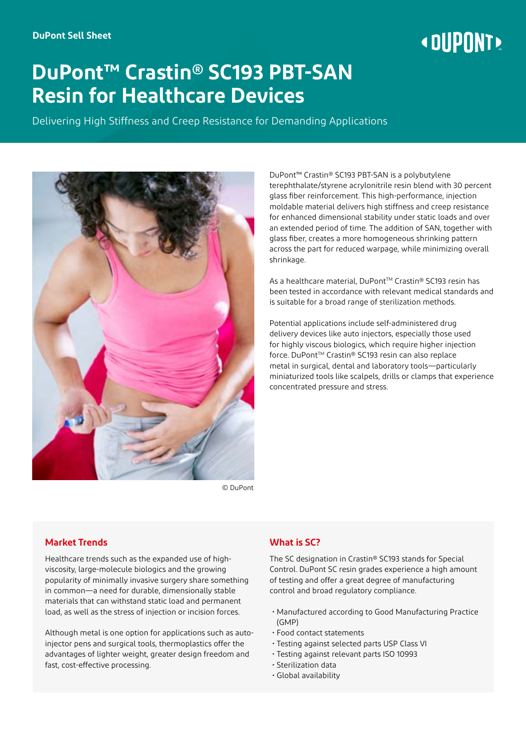# « DIIPNNT»

# **DuPont™ Crastin® SC193 PBT-SAN Resin for Healthcare Devices**

Delivering High Stiffness and Creep Resistance for Demanding Applications



DuPont™ Crastin® SC193 PBT-SAN is a polybutylene terephthalate/styrene acrylonitrile resin blend with 30 percent glass fiber reinforcement. This high-performance, injection moldable material delivers high stiffness and creep resistance for enhanced dimensional stability under static loads and over an extended period of time. The addition of SAN, together with glass fiber, creates a more homogeneous shrinking pattern across the part for reduced warpage, while minimizing overall shrinkage.

As a healthcare material, DuPont™ Crastin® SC193 resin has been tested in accordance with relevant medical standards and is suitable for a broad range of sterilization methods.

Potential applications include self-administered drug delivery devices like auto injectors, especially those used for highly viscous biologics, which require higher injection force. DuPont™ Crastin® SC193 resin can also replace metal in surgical, dental and laboratory tools—particularly miniaturized tools like scalpels, drills or clamps that experience concentrated pressure and stress.

© DuPont

## **Market Trends**

Healthcare trends such as the expanded use of highviscosity, large-molecule biologics and the growing popularity of minimally invasive surgery share something in common—a need for durable, dimensionally stable materials that can withstand static load and permanent load, as well as the stress of injection or incision forces.

Although metal is one option for applications such as autoinjector pens and surgical tools, thermoplastics offer the advantages of lighter weight, greater design freedom and fast, cost-effective processing.

## **What is SC?**

The SC designation in Crastin® SC193 stands for Special Control. DuPont SC resin grades experience a high amount of testing and offer a great degree of manufacturing control and broad regulatory compliance.

- Manufactured according to Good Manufacturing Practice (GMP)
- Food contact statements
- Testing against selected parts USP Class VI
- Testing against relevant parts ISO 10993
- Sterilization data
- Global availability